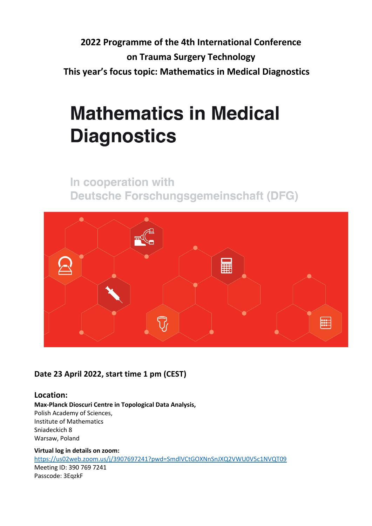**2022 Programme of the 4th International Conference on Trauma Surgery Technology This year's focus topic: Mathematics in Medical Diagnostics**

# **Mathematics in Medical Diagnostics**

In cooperation with **Deutsche Forschungsgemeinschaft (DFG)** 



# **Date 23 April 2022, start time 1 pm (CEST)**

## **Location:**

**Max-Planck Dioscuri Centre in Topological Data Analysis,** Polish Academy of Sciences, Institute of Mathematics Sniadeckich 8 Warsaw, Poland

**Virtual log in details on zoom:** https://us02web.zoom.us/j/3907697241?pwd=SmdlVCtGOXNnSnJXQ2VWU0V5c1NVQT09 Meeting ID: 390 769 7241 Passcode: 3EqzkF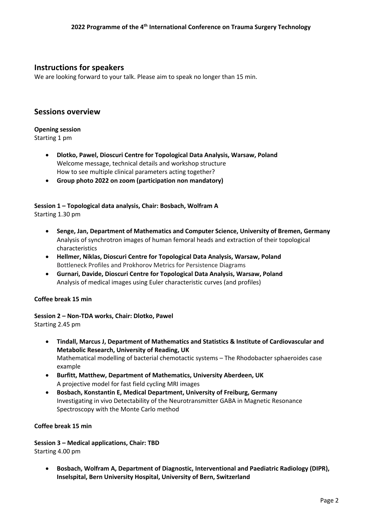### **Instructions for speakers**

We are looking forward to your talk. Please aim to speak no longer than 15 min.

#### **Sessions overview**

#### **Opening session**

Starting 1 pm

- **Dlotko, Pawel, Dioscuri Centre for Topological Data Analysis, Warsaw, Poland** Welcome message, technical details and workshop structure How to see multiple clinical parameters acting together?
- **Group photo 2022 on zoom (participation non mandatory)**

#### **Session 1 – Topological data analysis, Chair: Bosbach, Wolfram A** Starting 1.30 pm

- **Senge, Jan, Department of Mathematics and Computer Science, University of Bremen, Germany** Analysis of synchrotron images of human femoral heads and extraction of their topological characteristics
- **Hellmer, Niklas, Dioscuri Centre for Topological Data Analysis, Warsaw, Poland** Bottleneck Profiles and Prokhorov Metrics for Persistence Diagrams
- **Gurnari, Davide, Dioscuri Centre for Topological Data Analysis, Warsaw, Poland** Analysis of medical images using Euler characteristic curves (and profiles)

#### **Coffee break 15 min**

**Session 2 – Non-TDA works, Chair: Dlotko, Pawel** Starting 2.45 pm

- **Tindall, Marcus J, Department of Mathematics and Statistics & Institute of Cardiovascular and Metabolic Research, University of Reading, UK** Mathematical modelling of bacterial chemotactic systems – The Rhodobacter sphaeroides case example
- **Burfitt, Matthew, Department of Mathematics, University Aberdeen, UK** A projective model for fast field cycling MRI images
- **Bosbach, Konstantin E, Medical Department, University of Freiburg, Germany** Investigating in vivo Detectability of the Neurotransmitter GABA in Magnetic Resonance Spectroscopy with the Monte Carlo method

#### **Coffee break 15 min**

**Session 3 – Medical applications, Chair: TBD** Starting 4.00 pm

• **Bosbach, Wolfram A, Department of Diagnostic, Interventional and Paediatric Radiology (DIPR), Inselspital, Bern University Hospital, University of Bern, Switzerland**